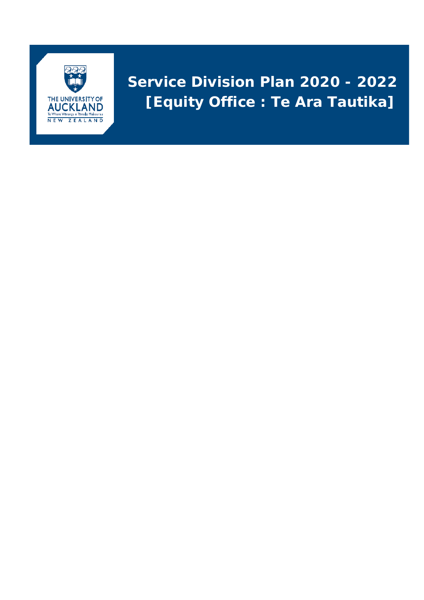

# **Service Division Plan 2020 - 2022 [Equity Office : Te Ara Tautika]**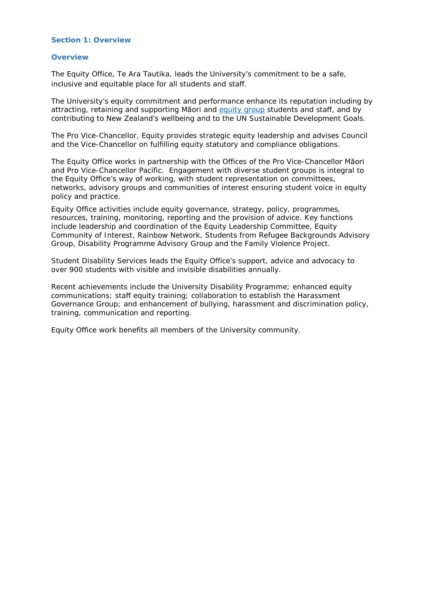#### **Section 1: Overview**

#### **Overview**

The Equity Office, Te Ara Tautika, leads the University's commitment to be a safe, inclusive and equitable place for all students and staff.

The University's equity commitment and performance enhance its reputation including by attracting, retaining and supporting Māori and [equity group](https://www.auckland.ac.nz/en/about/the-university/how-university-works/policy-and-administration/equity/equity-policy-and-procedures-.html) students and staff, and by contributing to New Zealand's wellbeing and to the UN Sustainable Development Goals.

The Pro Vice-Chancellor, Equity provides strategic equity leadership and advises Council and the Vice-Chancellor on fulfilling equity statutory and compliance obligations.

The Equity Office works in partnership with the Offices of the Pro Vice-Chancellor Māori and Pro Vice-Chancellor Pacific. Engagement with diverse student groups is integral to the Equity Office's way of working, with student representation on committees, networks, advisory groups and communities of interest ensuring student voice in equity policy and practice.

Equity Office activities include equity governance, strategy, policy, programmes, resources, training, monitoring, reporting and the provision of advice. Key functions include leadership and coordination of the Equity Leadership Committee, Equity Community of Interest, Rainbow Network, Students from Refugee Backgrounds Advisory Group, Disability Programme Advisory Group and the Family Violence Project.

Student Disability Services leads the Equity Office's support, advice and advocacy to over 900 students with visible and invisible disabilities annually.

Recent achievements include the University Disability Programme; enhanced equity communications; staff equity training; collaboration to establish the Harassment Governance Group; and enhancement of bullying, harassment and discrimination policy, training, communication and reporting.

Equity Office work benefits all members of the University community.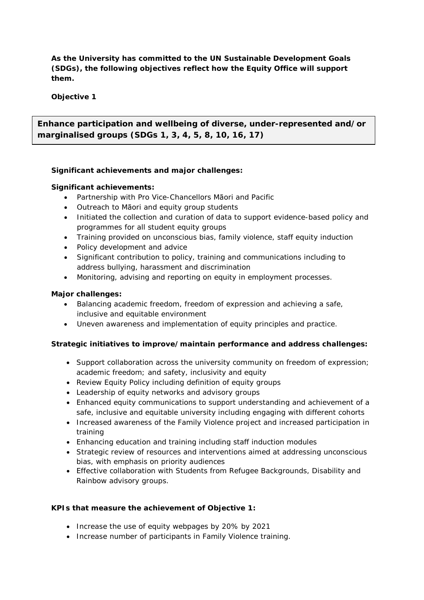**As the University has committed to the UN Sustainable Development Goals (SDGs), the following objectives reflect how the Equity Office will support them.**

**Objective 1**

**Enhance participation and wellbeing of diverse, under-represented and/or marginalised groups (SDGs 1, 3, 4, 5, 8, 10, 16, 17)**

# **Significant achievements and major challenges:**

#### **Significant achievements:**

- Partnership with Pro Vice-Chancellors Māori and Pacific
- Outreach to Māori and equity group students
- Initiated the collection and curation of data to support evidence-based policy and programmes for all student equity groups
- Training provided on unconscious bias, family violence, staff equity induction
- Policy development and advice
- Significant contribution to policy, training and communications including to address bullying, harassment and discrimination
- Monitoring, advising and reporting on equity in employment processes.

#### **Major challenges:**

- Balancing academic freedom, freedom of expression and achieving a safe, inclusive and equitable environment
- Uneven awareness and implementation of equity principles and practice.

# **Strategic initiatives to improve/maintain performance and address challenges:**

- Support collaboration across the university community on freedom of expression; academic freedom; and safety, inclusivity and equity
- Review Equity Policy including definition of equity groups
- Leadership of equity networks and advisory groups
- Enhanced equity communications to support understanding and achievement of a safe, inclusive and equitable university including engaging with different cohorts
- Increased awareness of the Family Violence project and increased participation in training
- Enhancing education and training including staff induction modules
- Strategic review of resources and interventions aimed at addressing unconscious bias, with emphasis on priority audiences
- Effective collaboration with Students from Refugee Backgrounds, Disability and Rainbow advisory groups.

# **KPIs that measure the achievement of Objective 1:**

- Increase the use of equity webpages by 20% by 2021
- Increase number of participants in Family Violence training.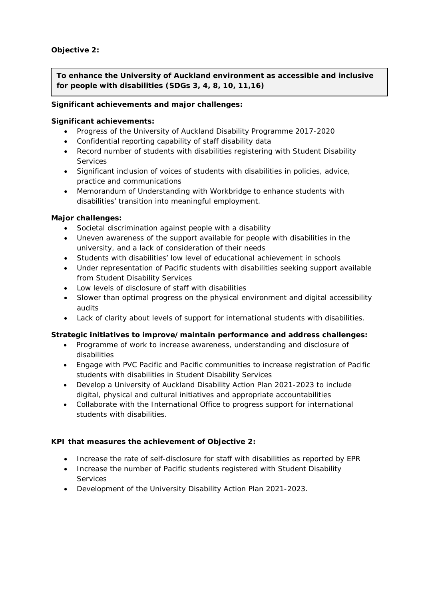# **Objective 2:**

**To enhance the University of Auckland environment as accessible and inclusive for people with disabilities (SDGs 3, 4, 8, 10, 11,16)**

## **Significant achievements and major challenges:**

#### **Significant achievements:**

- Progress of the University of Auckland Disability Programme 2017-2020
- Confidential reporting capability of staff disability data
- Record number of students with disabilities registering with Student Disability **Services**
- Significant inclusion of voices of students with disabilities in policies, advice, practice and communications
- Memorandum of Understanding with Workbridge to enhance students with disabilities' transition into meaningful employment.

# **Major challenges:**

- Societal discrimination against people with a disability
- Uneven awareness of the support available for people with disabilities in the university, and a lack of consideration of their needs
- Students with disabilities' low level of educational achievement in schools
- Under representation of Pacific students with disabilities seeking support available from Student Disability Services
- Low levels of disclosure of staff with disabilities
- Slower than optimal progress on the physical environment and digital accessibility audits
- Lack of clarity about levels of support for international students with disabilities.

# **Strategic initiatives to improve/maintain performance and address challenges:**

- Programme of work to increase awareness, understanding and disclosure of disabilities
- Engage with PVC Pacific and Pacific communities to increase registration of Pacific students with disabilities in Student Disability Services
- Develop a University of Auckland Disability Action Plan 2021-2023 to include digital, physical and cultural initiatives and appropriate accountabilities
- Collaborate with the International Office to progress support for international students with disabilities.

# **KPI that measures the achievement of Objective 2:**

- Increase the rate of self-disclosure for staff with disabilities as reported by EPR
- Increase the number of Pacific students registered with Student Disability **Services**
- Development of the University Disability Action Plan 2021-2023.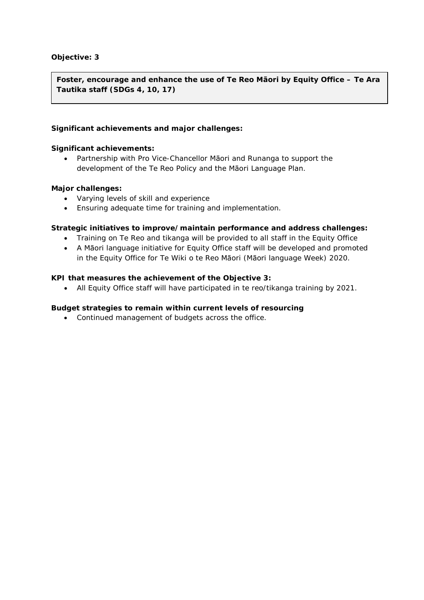# **Objective: 3**

**Foster, encourage and enhance the use of Te Reo Māori by Equity Office – Te Ara Tautika staff (SDGs 4, 10, 17)**

#### **Significant achievements and major challenges:**

#### **Significant achievements:**

• Partnership with Pro Vice-Chancellor Māori and Runanga to support the development of the Te Reo Policy and the Māori Language Plan.

#### **Major challenges:**

- Varying levels of skill and experience
- Ensuring adequate time for training and implementation.

#### **Strategic initiatives to improve/maintain performance and address challenges:**

- Training on Te Reo and tikanga will be provided to all staff in the Equity Office
- A Māori language initiative for Equity Office staff will be developed and promoted in the Equity Office for Te Wiki o te Reo Māori (Māori language Week) 2020.

#### **KPI that measures the achievement of the Objective 3:**

• All Equity Office staff will have participated in te reo/tikanga training by 2021.

#### **Budget strategies to remain within current levels of resourcing**

• Continued management of budgets across the office.